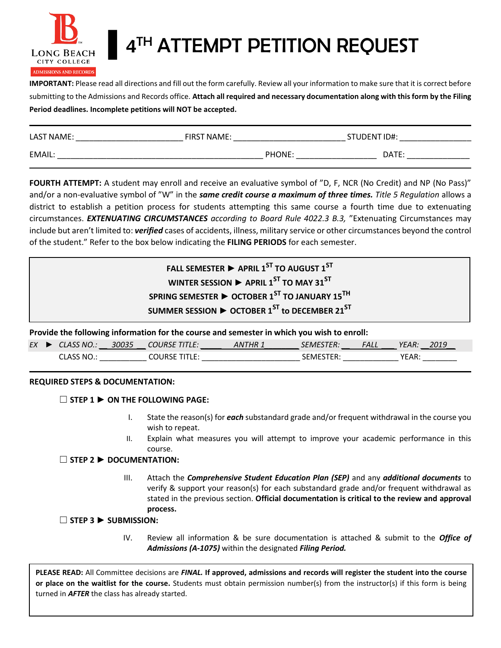

# **A<sup>TH</sup> ATTEMPT PETITION REQUEST**

**IMPORTANT:** Please read all directions and fill out the form carefully. Review all your information to make sure that it is correct before submitting to the Admissions and Records office. **Attach all required and necessary documentation along with this form by the Filing Period deadlines. Incomplete petitions will NOT be accepted.**

| LAST NAME: | <b>FIRST NAME:</b> | STUDENT ID#: |  |
|------------|--------------------|--------------|--|
| EMAIL:     | PHONE:             | DATE:        |  |

**FOURTH ATTEMPT:** A student may enroll and receive an evaluative symbol of "D, F, NCR (No Credit) and NP (No Pass)" and/or a non-evaluative symbol of "W" in the *same credit course a maximum of three times. Title 5 Regulation* allows a district to establish a petition process for students attempting this same course a fourth time due to extenuating circumstances. *EXTENUATING CIRCUMSTANCES according to Board Rule 4022.3 B.3,* "Extenuating Circumstances may include but aren't limited to: *verified* cases of accidents, illness, military service or other circumstances beyond the control of the student." Refer to the box below indicating the **FILING PERIODS** for each semester.

| FALL SEMESTER $\blacktriangleright$ APRIL 1 <sup>ST</sup> TO AUGUST 1 <sup>ST</sup>  |  |
|--------------------------------------------------------------------------------------|--|
| WINTER SESSION $\blacktriangleright$ APRIL 1 <sup>ST</sup> TO MAY 31 <sup>ST</sup>   |  |
| SPRING SEMESTER $\triangleright$ OCTOBER 1 <sup>ST</sup> TO JANUARY 15 <sup>TH</sup> |  |
| SUMMER SESSION $\triangleright$ OCTOBER 1 <sup>ST</sup> to DECEMBER 21 <sup>ST</sup> |  |

**Provide the following information for the course and semester in which you wish to enroll:**

| EX | M∩∶                | -י∩∩- |  |              | <b>ALL</b> | .         | $\sim$ |
|----|--------------------|-------|--|--------------|------------|-----------|--------|
|    | NΩ<br>$\mathbf{v}$ |       |  | $\mathbf{v}$ |            | <b>AD</b> |        |

## **REQUIRED STEPS & DOCUMENTATION:**

## ☐ **STEP 1 ► ON THE FOLLOWING PAGE:**

- I. State the reason(s) for *each* substandard grade and/or frequent withdrawal in the course you wish to repeat.
- II. Explain what measures you will attempt to improve your academic performance in this course.

## ☐ **STEP 2 ► DOCUMENTATION:**

III. Attach the *Comprehensive Student Education Plan (SEP)* and any *additional documents* to verify & support your reason(s) for each substandard grade and/or frequent withdrawal as stated in the previous section. **Official documentation is critical to the review and approval process.**

## ☐ **STEP 3 ► SUBMISSION:**

IV. Review all information & be sure documentation is attached & submit to the *Office of Admissions (A-1075)* within the designated *Filing Period.*

**PLEASE READ:** All Committee decisions are *FINAL.* **If approved, admissions and records will register the student into the course or place on the waitlist for the course.** Students must obtain permission number(s) from the instructor(s) if this form is being turned in *AFTER* the class has already started.